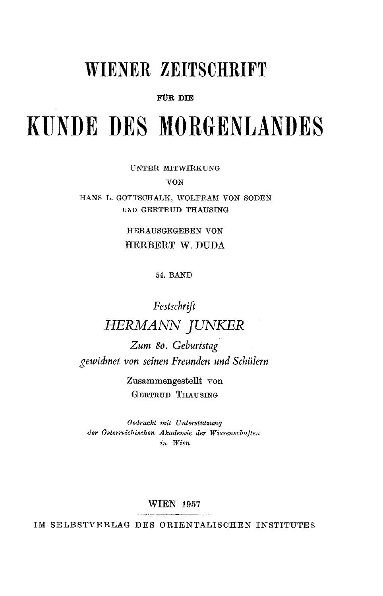## WIENER ZEITSCHRIFT

### **FÜR** DIE

# **KUNDE** DES MORGENLANDES

UNTER MITWIRKUNG

VON

HANS L. GOTTSCHALK, **WOLFRAM** VON SODEN **UND** GERTRUD THAUSING

> HERAUSGEGEBEN VON HERBERT W. **DUDA**

> > 54. BAND

## *Festschrift HERMANN JUNKER*

*Zum 80. Geburtstag gewidmet von seinen Freunden und Schülern* 

> Zusammengestellt von **GERTRUD THAUSING**

*Qedruckt mit Unterstützung der Öterreichischen Akademie der Wissenschaften in Wien* 

#### WIEN 1957

IM SELBSTVERLAG DES ORIENTALISCHEN INSTITUTES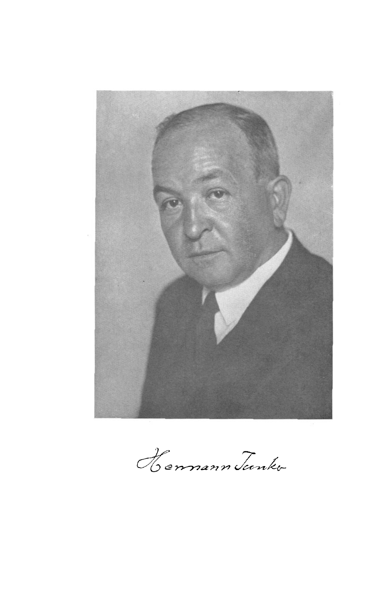

*Hermann Junko*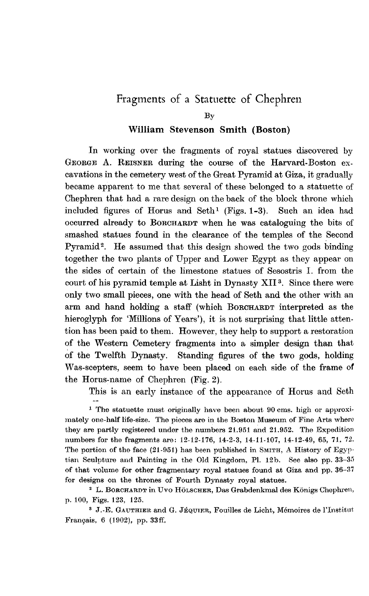## Fragments of a Statuette of Chephren

## **William Stevenson Smith (Boston)**

In working over the fragments of royal statues discovered by GEORGE **A.** REISNER during the course of the Harvard-Boston excavations in the cemetery west of the Great Pyramid at Giza, it gradually became apparent to me that several of these belonged to a statuette of Chephren that had a rare design on the back of the block throne which included figures of Horus and Seth<sup>1</sup> (Figs.  $1-3$ ). Such an idea had occurred already to BORCHARDT when he was cataloguing the bits **of**  smashed statues found in the clearance of the temples of the Second Pyramid2. He assumed that this design showed the two gods binding together the two plants of Upper and Lower Egypt as they appear on the sides of certain of the limestone statues of Scsostris I. from the court of his pyramid temple at Lisht in Dynasty XII³. Since there were only two small pieces, one with the head of Seth and the other with an arm and hand holding a staff (which BORCHARDT interpreted as the hieroglyph for 'Millions of Years'), it is not surprising that little attention has been paid to them. However, they help to support a restoration of the Western Cemetery fragments into a simpler design than that of the Twelfth Dynasty. Standing figures of the two gods, holding Was-scepters, seem to have been placed on each side of the frame of the Horus-name of Chephren (Pig. **2).** 

This is an early instance of the appearance of Horus and Seth

<sup>1</sup> The statuette must originally have been about 90 cms. high or approximately one-half life-size. The pieces are in the Boston Museum of Fine Arts where they **are** partly registered under the numbers **21.951 and 21.952.** The Expedition numbers for the fragments are: **12-12-176, 14-2-3, 14-11-107, 14-12-49, 65, 7J. 72.**  The portion of the face  $(21-951)$  has been published in SMITH, A History of Egyptian Sculpture **and** Painting in the Old Kingdom, Pl. **12b.** See **also** pp. **33-35**  of that volume for other fragmentary royal statues found at Giza and pp. **36-37**  for designs on the thrones of Fourth Dynasty royal statues.

**²** L. BORCHARDT in **Uvo** HÖLSCHER, Das Grabdenkmal des Konigs Chephren, p. 100, Figs. **123, 125.** 

*³* **J.-E.** GAUTHIER. and *G.* **JÉQUIER,** Fouilles de Licht, Mémoires de l'Institut Français, **6 (1902),** pp. **33ff.** 

BY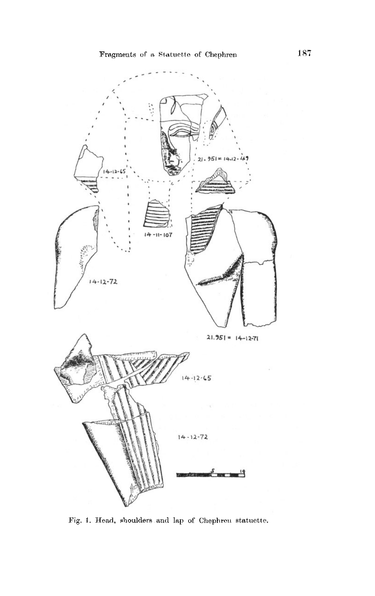

Fig. **1.** Head, shoulders and lap of Chephren statuette.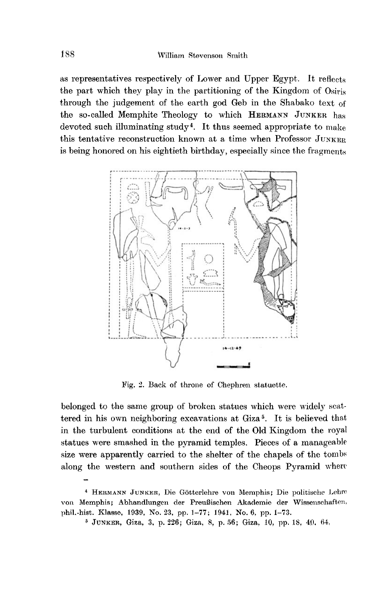as representatives respectively of Lower and Upper Egypt. It reflects the part which they play in the partitioning of the Kingdom of Osiris through the judgement of the earth god Geb in the Shabako text of' the so-called Memphite Theology to which **HERMANN JUNKER** has devoted such illuminating study4. It thus seemed appropriate to **make**  this tentative reconstruction known at a time when Professor **JUNKER**  is being honored on his eightieth birthday, especially since the fragments



Pig. **2.** Back of throne of Chephren statuette.

belonged to the same group of broken statues which were widely scattered in his own neighboring excavations at Giza 5. It is believed that in the turbulent conditions at the end of the Old Kingdom the royal statues were smashed in the pyramid temples. Pieces of a manageable size were apparently carried to the shelter of the chapels of the tombs along the western and southern sides of the Cheops Pyramid where

*<sup>4</sup>***HERMANN JUNKER. Die** Götterlehre von Memphis; Die politische **Lehre von** Memphis ; Abhandlungen der PreuBischen Akademie **der** Wissenschaften, phil.-hist. Klasse, **1939, No. 23,** pp. **1-77; 1941, No. 6,** pp. **1-73.** 

*5* **JUNKER,** Giza, **3,** p. **226; Giza, 8.** p. **56;** Giza, **10,** pp. **18, 40. 64.**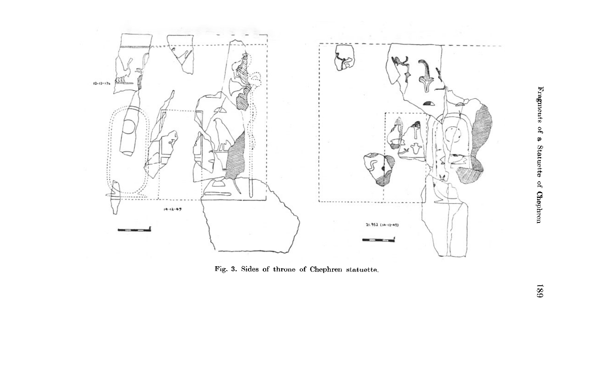

**Fig. 3. Sides of throne of Chephren statuette.** 

Fragments